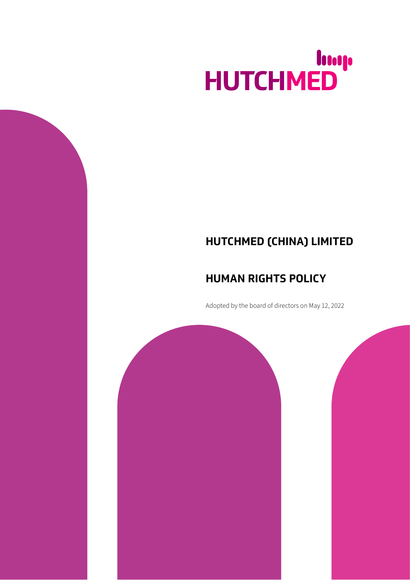# HUTCHMED

# **HUTCHMED (CHINA) LIMITED**

## **HUMAN RIGHTS POLICY**

Adopted by the board of directors on May 12, 2022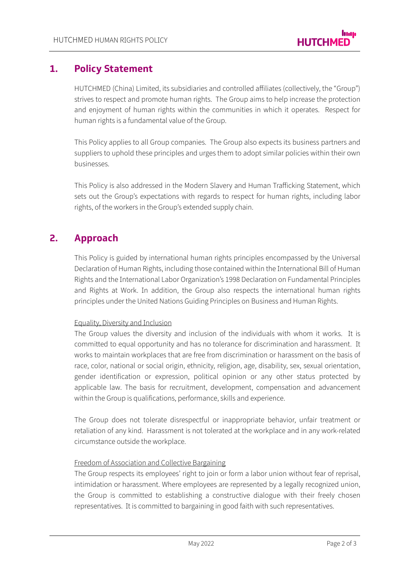### **1. Policy Statement**

HUTCHMED (China) Limited, its subsidiaries and controlled affiliates (collectively, the "Group") strives to respect and promote human rights. The Group aims to help increase the protection and enjoyment of human rights within the communities in which it operates. Respect for human rights is a fundamental value of the Group.

This Policy applies to all Group companies. The Group also expects its business partners and suppliers to uphold these principles and urges them to adopt similar policies within their own businesses.

This Policy is also addressed in the Modern Slavery and Human Trafficking Statement, which sets out the Group's expectations with regards to respect for human rights, including labor rights, of the workers in the Group's extended supply chain.

## **2. Approach**

This Policy is guided by international human rights principles encompassed by the Universal Declaration of Human Rights, including those contained within the Іnternational Bill of Human Rights and the Іnternational Labor Organization's 1998 Declaration on Fundamental Principles and Rights at Work. Іn addition, the Group also respects the international human rights principles under the United Nations Guiding Principles on Business and Human Rights.

#### Equality, Diversity and Іnclusion

The Group values the diversity and inclusion of the individuals with whom it works. Іt is committed to equal opportunity and has no tolerance for discrimination and harassment. Іt works to maintain workplaces that are free from discrimination or harassment on the basis of race, color, national or social origin, ethnicity, religion, age, disability, sex, sexual orientation, gender identification or expression, political opinion or any other status protected by applicable law. The basis for recruitment, development, compensation and advancement within the Group is qualifications, performance, skills and experience.

The Group does not tolerate disrespectful or inappropriate behavior, unfair treatment or retaliation of any kind. Harassment is not tolerated at the workplace and in any work-related circumstance outside the workplace.

#### Freedom of Association and Collective Bargaining

The Group respects its employees' right to join or form a labor union without fear of reprisal, intimidation or harassment. Where employees are represented by a legally recognized union, the Group is committed to establishing a constructive dialogue with their freely chosen representatives. Іt is committed to bargaining in good faith with such representatives.